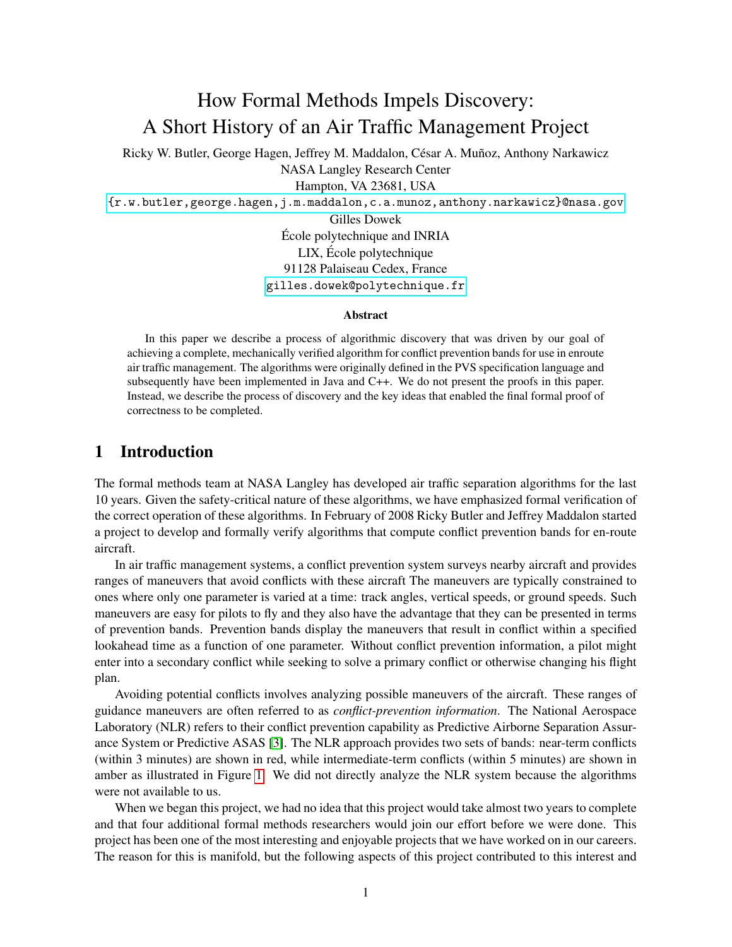# How Formal Methods Impels Discovery: A Short History of an Air Traffic Management Project

Ricky W. Butler, George Hagen, Jeffrey M. Maddalon, César A. Muñoz, Anthony Narkawicz NASA Langley Research Center Hampton, VA 23681, USA

<{r.w.butler,george.hagen,j.m.maddalon,c.a.munoz,anthony.narkawicz}@nasa.gov>

Gilles Dowek Ecole polytechnique and INRIA ´ LIX, Ecole polytechnique ´ 91128 Palaiseau Cedex, France <gilles.dowek@polytechnique.fr>

#### Abstract

In this paper we describe a process of algorithmic discovery that was driven by our goal of achieving a complete, mechanically verified algorithm for conflict prevention bands for use in enroute air traffic management. The algorithms were originally defined in the PVS specification language and subsequently have been implemented in Java and C++. We do not present the proofs in this paper. Instead, we describe the process of discovery and the key ideas that enabled the final formal proof of correctness to be completed.

### 1 Introduction

The formal methods team at NASA Langley has developed air traffic separation algorithms for the last 10 years. Given the safety-critical nature of these algorithms, we have emphasized formal verification of the correct operation of these algorithms. In February of 2008 Ricky Butler and Jeffrey Maddalon started a project to develop and formally verify algorithms that compute conflict prevention bands for en-route aircraft.

In air traffic management systems, a conflict prevention system surveys nearby aircraft and provides ranges of maneuvers that avoid conflicts with these aircraft The maneuvers are typically constrained to ones where only one parameter is varied at a time: track angles, vertical speeds, or ground speeds. Such maneuvers are easy for pilots to fly and they also have the advantage that they can be presented in terms of prevention bands. Prevention bands display the maneuvers that result in conflict within a specified lookahead time as a function of one parameter. Without conflict prevention information, a pilot might enter into a secondary conflict while seeking to solve a primary conflict or otherwise changing his flight plan.

Avoiding potential conflicts involves analyzing possible maneuvers of the aircraft. These ranges of guidance maneuvers are often referred to as *conflict-prevention information*. The National Aerospace Laboratory (NLR) refers to their conflict prevention capability as Predictive Airborne Separation Assurance System or Predictive ASAS [\[3\]](#page-12-0). The NLR approach provides two sets of bands: near-term conflicts (within 3 minutes) are shown in red, while intermediate-term conflicts (within 5 minutes) are shown in amber as illustrated in Figure [1.](#page-1-0) We did not directly analyze the NLR system because the algorithms were not available to us.

When we began this project, we had no idea that this project would take almost two years to complete and that four additional formal methods researchers would join our effort before we were done. This project has been one of the most interesting and enjoyable projects that we have worked on in our careers. The reason for this is manifold, but the following aspects of this project contributed to this interest and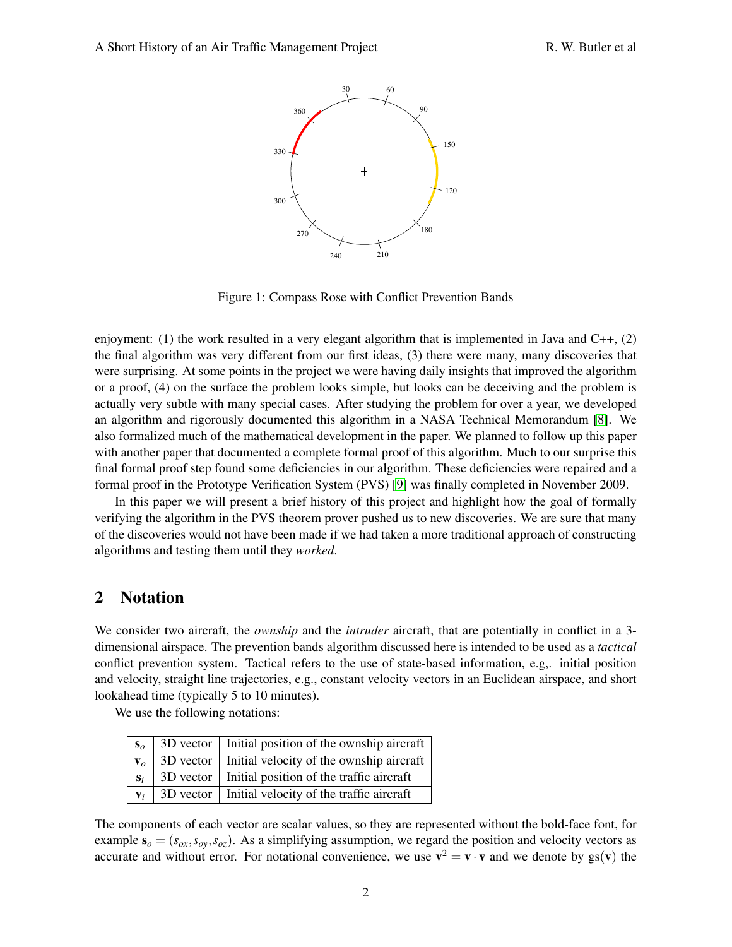

<span id="page-1-0"></span>Figure 1: Compass Rose with Conflict Prevention Bands

enjoyment: (1) the work resulted in a very elegant algorithm that is implemented in Java and  $C_{++}$ , (2) the final algorithm was very different from our first ideas, (3) there were many, many discoveries that were surprising. At some points in the project we were having daily insights that improved the algorithm or a proof, (4) on the surface the problem looks simple, but looks can be deceiving and the problem is actually very subtle with many special cases. After studying the problem for over a year, we developed an algorithm and rigorously documented this algorithm in a NASA Technical Memorandum [\[8\]](#page-13-0). We also formalized much of the mathematical development in the paper. We planned to follow up this paper with another paper that documented a complete formal proof of this algorithm. Much to our surprise this final formal proof step found some deficiencies in our algorithm. These deficiencies were repaired and a formal proof in the Prototype Verification System (PVS) [\[9\]](#page-13-1) was finally completed in November 2009.

In this paper we will present a brief history of this project and highlight how the goal of formally verifying the algorithm in the PVS theorem prover pushed us to new discoveries. We are sure that many of the discoveries would not have been made if we had taken a more traditional approach of constructing algorithms and testing them until they *worked*.

## 2 Notation

We consider two aircraft, the *ownship* and the *intruder* aircraft, that are potentially in conflict in a 3 dimensional airspace. The prevention bands algorithm discussed here is intended to be used as a *tactical* conflict prevention system. Tactical refers to the use of state-based information, e.g,. initial position and velocity, straight line trajectories, e.g., constant velocity vectors in an Euclidean airspace, and short lookahead time (typically 5 to 10 minutes).

We use the following notations:

| $S_o$          | $3D$ vector   Initial position of the ownship aircraft |
|----------------|--------------------------------------------------------|
| $\mathbf{v}_o$ | $3D$ vector   Initial velocity of the ownship aircraft |
| $S_i$          | $3D$ vector   Initial position of the traffic aircraft |
| $V_i$          | 3D vector   Initial velocity of the traffic aircraft   |

The components of each vector are scalar values, so they are represented without the bold-face font, for example  $s_o = (s_{ox}, s_{oy}, s_{oz})$ . As a simplifying assumption, we regard the position and velocity vectors as accurate and without error. For notational convenience, we use  $\mathbf{v}^2 = \mathbf{v} \cdot \mathbf{v}$  and we denote by  $\text{gs}(\mathbf{v})$  the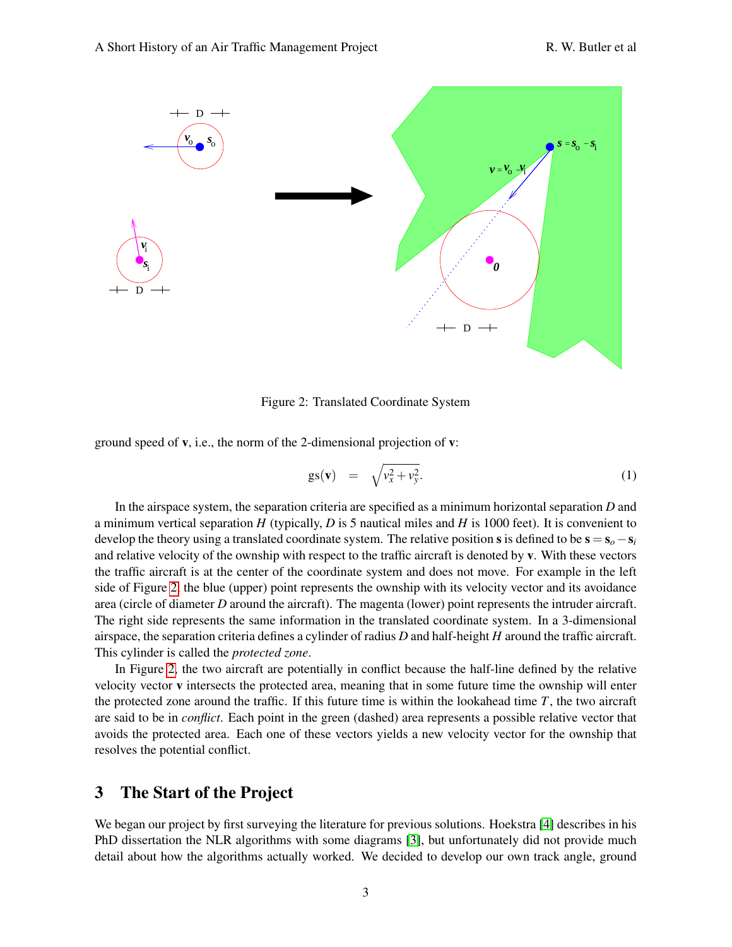

<span id="page-2-0"></span>Figure 2: Translated Coordinate System

ground speed of v, i.e., the norm of the 2-dimensional projection of v:

$$
gs(\mathbf{v}) = \sqrt{v_x^2 + v_y^2}.
$$
 (1)

In the airspace system, the separation criteria are specified as a minimum horizontal separation *D* and a minimum vertical separation *H* (typically, *D* is 5 nautical miles and *H* is 1000 feet). It is convenient to develop the theory using a translated coordinate system. The relative position s is defined to be  $s = s_0 - s_i$ and relative velocity of the ownship with respect to the traffic aircraft is denoted by v. With these vectors the traffic aircraft is at the center of the coordinate system and does not move. For example in the left side of Figure [2,](#page-2-0) the blue (upper) point represents the ownship with its velocity vector and its avoidance area (circle of diameter *D* around the aircraft). The magenta (lower) point represents the intruder aircraft. The right side represents the same information in the translated coordinate system. In a 3-dimensional airspace, the separation criteria defines a cylinder of radius *D* and half-height *H* around the traffic aircraft. This cylinder is called the *protected zone*.

In Figure [2,](#page-2-0) the two aircraft are potentially in conflict because the half-line defined by the relative velocity vector v intersects the protected area, meaning that in some future time the ownship will enter the protected zone around the traffic. If this future time is within the lookahead time *T*, the two aircraft are said to be in *conflict*. Each point in the green (dashed) area represents a possible relative vector that avoids the protected area. Each one of these vectors yields a new velocity vector for the ownship that resolves the potential conflict.

### 3 The Start of the Project

We began our project by first surveying the literature for previous solutions. Hoekstra [\[4\]](#page-13-2) describes in his PhD dissertation the NLR algorithms with some diagrams [\[3\]](#page-12-0), but unfortunately did not provide much detail about how the algorithms actually worked. We decided to develop our own track angle, ground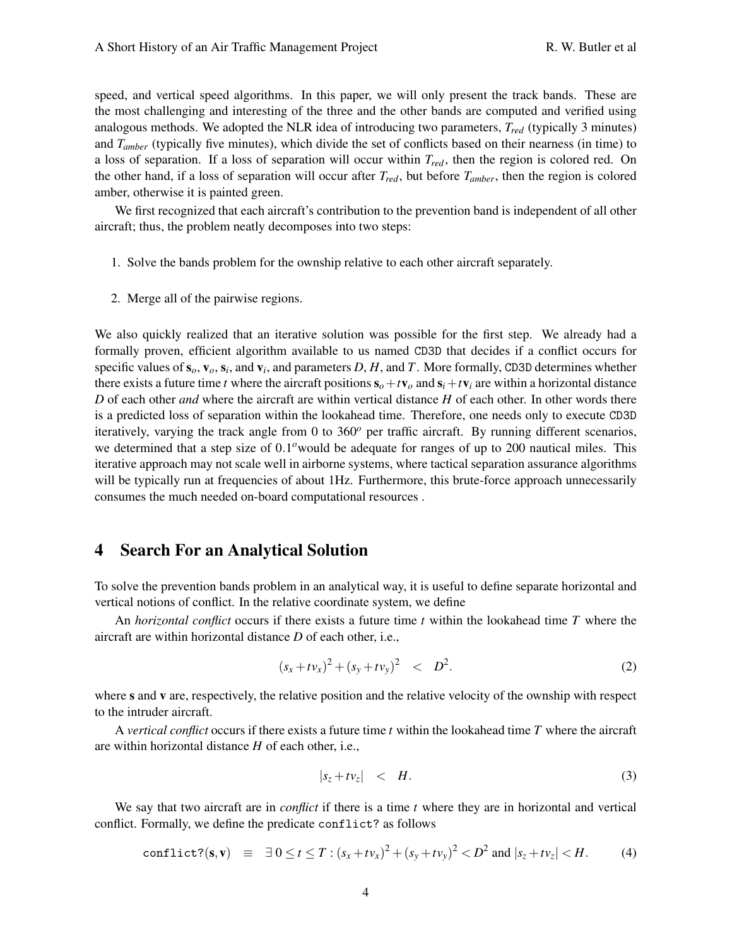speed, and vertical speed algorithms. In this paper, we will only present the track bands. These are the most challenging and interesting of the three and the other bands are computed and verified using analogous methods. We adopted the NLR idea of introducing two parameters, *Tred* (typically 3 minutes) and *Tamber* (typically five minutes), which divide the set of conflicts based on their nearness (in time) to a loss of separation. If a loss of separation will occur within *Tred*, then the region is colored red. On the other hand, if a loss of separation will occur after *Tred*, but before *Tamber*, then the region is colored amber, otherwise it is painted green.

We first recognized that each aircraft's contribution to the prevention band is independent of all other aircraft; thus, the problem neatly decomposes into two steps:

- 1. Solve the bands problem for the ownship relative to each other aircraft separately.
- 2. Merge all of the pairwise regions.

We also quickly realized that an iterative solution was possible for the first step. We already had a formally proven, efficient algorithm available to us named CD3D that decides if a conflict occurs for specific values of  $s_o$ ,  $v_o$ ,  $s_i$ , and  $v_i$ , and parameters  $D$ ,  $H$ , and  $T$ . More formally, CD3D determines whether there exists a future time *t* where the aircraft positions  $s_o + t v_o$  and  $s_i + t v_i$  are within a horizontal distance *D* of each other *and* where the aircraft are within vertical distance *H* of each other. In other words there is a predicted loss of separation within the lookahead time. Therefore, one needs only to execute CD3D iteratively, varying the track angle from 0 to 360*<sup>o</sup>* per traffic aircraft. By running different scenarios, we determined that a step size of 0.1<sup>o</sup>would be adequate for ranges of up to 200 nautical miles. This iterative approach may not scale well in airborne systems, where tactical separation assurance algorithms will be typically run at frequencies of about 1Hz. Furthermore, this brute-force approach unnecessarily consumes the much needed on-board computational resources .

### 4 Search For an Analytical Solution

To solve the prevention bands problem in an analytical way, it is useful to define separate horizontal and vertical notions of conflict. In the relative coordinate system, we define

An *horizontal conflict* occurs if there exists a future time *t* within the lookahead time *T* where the aircraft are within horizontal distance *D* of each other, i.e.,

$$
(s_x + t v_x)^2 + (s_y + t v_y)^2 \quad < \quad D^2. \tag{2}
$$

where s and v are, respectively, the relative position and the relative velocity of the ownship with respect to the intruder aircraft.

A *vertical conflict* occurs if there exists a future time *t* within the lookahead time *T* where the aircraft are within horizontal distance *H* of each other, i.e.,

$$
|s_z + t v_z| < H. \tag{3}
$$

We say that two aircraft are in *conflict* if there is a time *t* where they are in horizontal and vertical conflict. Formally, we define the predicate conflict? as follows

conflict?(**s**,**v**) 
$$
\equiv \exists 0 \le t \le T : (s_x + tv_x)^2 + (s_y + tv_y)^2 < D^2
$$
 and  $|s_z + tv_z| < H$ . (4)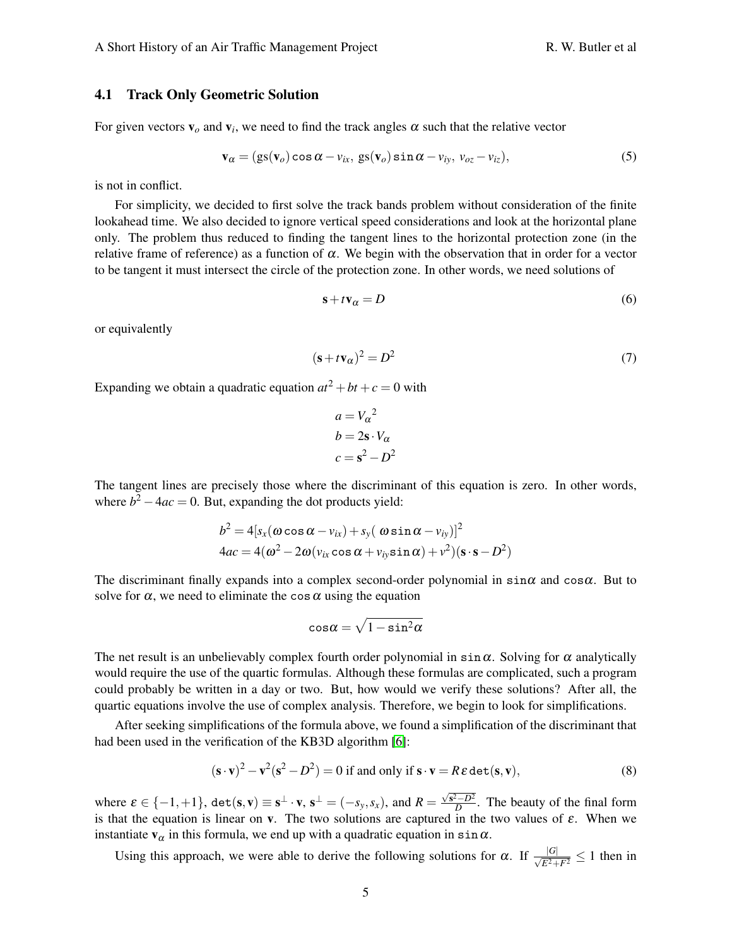For given vectors  $\mathbf{v}_o$  and  $\mathbf{v}_i$ , we need to find the track angles  $\alpha$  such that the relative vector

$$
\mathbf{v}_{\alpha} = (gs(\mathbf{v}_o)\cos\alpha - v_{ix},\,gs(\mathbf{v}_o)\sin\alpha - v_{iy},\,v_{oz} - v_{iz}),\tag{5}
$$

is not in conflict.

For simplicity, we decided to first solve the track bands problem without consideration of the finite lookahead time. We also decided to ignore vertical speed considerations and look at the horizontal plane only. The problem thus reduced to finding the tangent lines to the horizontal protection zone (in the relative frame of reference) as a function of  $\alpha$ . We begin with the observation that in order for a vector to be tangent it must intersect the circle of the protection zone. In other words, we need solutions of

<span id="page-4-0"></span>
$$
\mathbf{s} + t\mathbf{v}_{\alpha} = D \tag{6}
$$

or equivalently

$$
(\mathbf{s} + t\mathbf{v}_{\alpha})^2 = D^2 \tag{7}
$$

Expanding we obtain a quadratic equation  $at^2 + bt + c = 0$  with

$$
a = V_{\alpha}^{2}
$$
  
\n
$$
b = 2s \cdot V_{\alpha}
$$
  
\n
$$
c = s^{2} - D^{2}
$$

The tangent lines are precisely those where the discriminant of this equation is zero. In other words, where  $b^2 - 4ac = 0$ . But, expanding the dot products yield:

$$
b2 = 4[sx(\omega \cos \alpha - vix) + sy(\omega \sin \alpha - viy)]2
$$
  
4ac = 4( $\omega$ <sup>2</sup> – 2 $\omega$ (v<sub>ix</sub> cos  $\alpha$  + v<sub>iy</sub>sin  $\alpha$ ) + v<sup>2</sup>)(s·s – D<sup>2</sup>)

The discriminant finally expands into a complex second-order polynomial in  $\sin \alpha$  and  $\cos \alpha$ . But to solve for  $\alpha$ , we need to eliminate the cos  $\alpha$  using the equation

<span id="page-4-1"></span>
$$
\text{cos}\alpha=\sqrt{1-\text{sin}^2\alpha}
$$

The net result is an unbelievably complex fourth order polynomial in  $\sin \alpha$ . Solving for  $\alpha$  analytically would require the use of the quartic formulas. Although these formulas are complicated, such a program could probably be written in a day or two. But, how would we verify these solutions? After all, the quartic equations involve the use of complex analysis. Therefore, we begin to look for simplifications.

After seeking simplifications of the formula above, we found a simplification of the discriminant that had been used in the verification of the KB3D algorithm [\[6\]](#page-13-3):

$$
(\mathbf{s} \cdot \mathbf{v})^2 - \mathbf{v}^2(\mathbf{s}^2 - D^2) = 0 \text{ if and only if } \mathbf{s} \cdot \mathbf{v} = R\,\varepsilon \det(\mathbf{s}, \mathbf{v}),\tag{8}
$$

where  $\varepsilon \in \{-1,+1\}$ ,  $\det(s, v) \equiv s^{\perp} \cdot v$ ,  $s^{\perp} = (-s_y, s_x)$ , and  $R = \frac{\sqrt{s^2 - D^2}}{D}$  $\frac{p}{D}$ . The beauty of the final form is that the equation is linear on v. The two solutions are captured in the two values of  $\varepsilon$ . When we instantiate  $v_{\alpha}$  in this formula, we end up with a quadratic equation in sin $\alpha$ .

Using this approach, we were able to derive the following solutions for  $\alpha$ . If  $\frac{|G|}{\sqrt{E^2 + F^2}} \le 1$  then in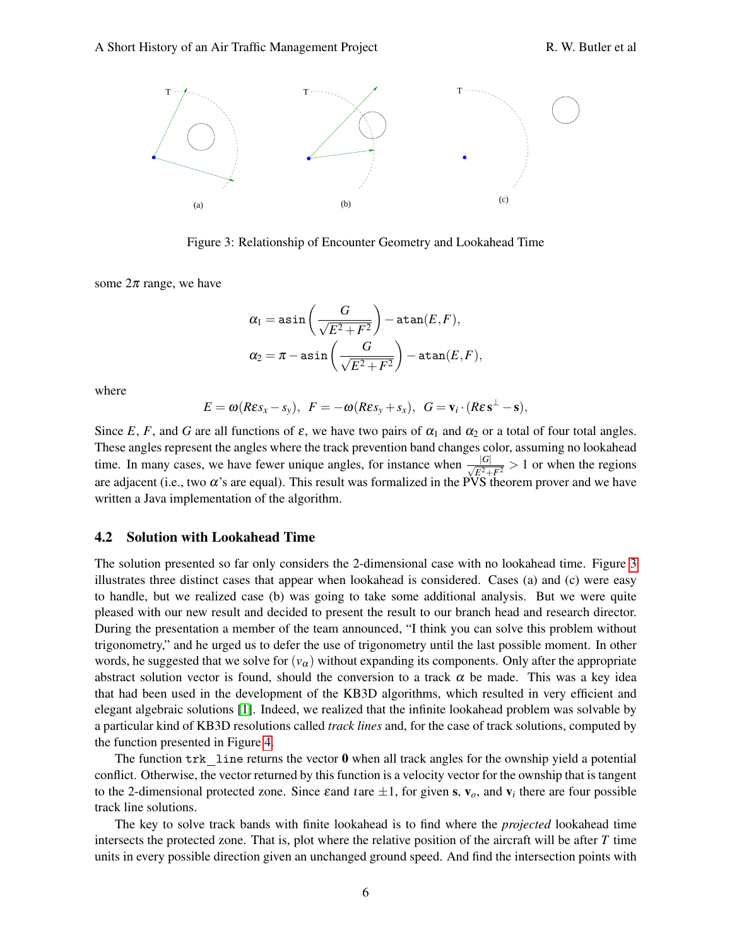

<span id="page-5-0"></span>Figure 3: Relationship of Encounter Geometry and Lookahead Time

some  $2\pi$  range, we have

$$
\begin{aligned} \alpha_1 &= \text{asin}\left(\frac{G}{\sqrt{E^2 + F^2}}\right) - \text{atan}(E, F), \\ \alpha_2 &= \pi - \text{asin}\left(\frac{G}{\sqrt{E^2 + F^2}}\right) - \text{atan}(E, F), \end{aligned}
$$

where

$$
E = \omega(R \varepsilon s_x - s_y), \ \ F = -\omega(R \varepsilon s_y + s_x), \ \ G = \mathbf{v}_i \cdot (R \varepsilon \mathbf{s}^\perp - \mathbf{s}),
$$

Since *E*, *F*, and *G* are all functions of  $\varepsilon$ , we have two pairs of  $\alpha_1$  and  $\alpha_2$  or a total of four total angles. These angles represent the angles where the track prevention band changes color, assuming no lookahead time. In many cases, we have fewer unique angles, for instance when  $\frac{|G|}{\sqrt{E^2 + F^2}} > 1$  or when the regions are adjacent (i.e., two  $\alpha$ 's are equal). This result was formalized in the PVS theorem prover and we have written a Java implementation of the algorithm.

#### <span id="page-5-1"></span>4.2 Solution with Lookahead Time

The solution presented so far only considers the 2-dimensional case with no lookahead time. Figure [3](#page-5-0) illustrates three distinct cases that appear when lookahead is considered. Cases (a) and (c) were easy to handle, but we realized case (b) was going to take some additional analysis. But we were quite pleased with our new result and decided to present the result to our branch head and research director. During the presentation a member of the team announced, "I think you can solve this problem without trigonometry," and he urged us to defer the use of trigonometry until the last possible moment. In other words, he suggested that we solve for  $(v_\alpha)$  without expanding its components. Only after the appropriate abstract solution vector is found, should the conversion to a track  $\alpha$  be made. This was a key idea that had been used in the development of the KB3D algorithms, which resulted in very efficient and elegant algebraic solutions [\[1\]](#page-12-1). Indeed, we realized that the infinite lookahead problem was solvable by a particular kind of KB3D resolutions called *track lines* and, for the case of track solutions, computed by the function presented in Figure [4.](#page-6-0)

The function  $\text{tr}\mathbf{k}$  line returns the vector **0** when all track angles for the ownship yield a potential conflict. Otherwise, the vector returned by this function is a velocity vector for the ownship that is tangent to the 2-dimensional protected zone. Since  $\varepsilon$  and  $t$  are  $\pm 1$ , for given s,  $v_0$ , and  $v_i$  there are four possible track line solutions.

The key to solve track bands with finite lookahead is to find where the *projected* lookahead time intersects the protected zone. That is, plot where the relative position of the aircraft will be after *T* time units in every possible direction given an unchanged ground speed. And find the intersection points with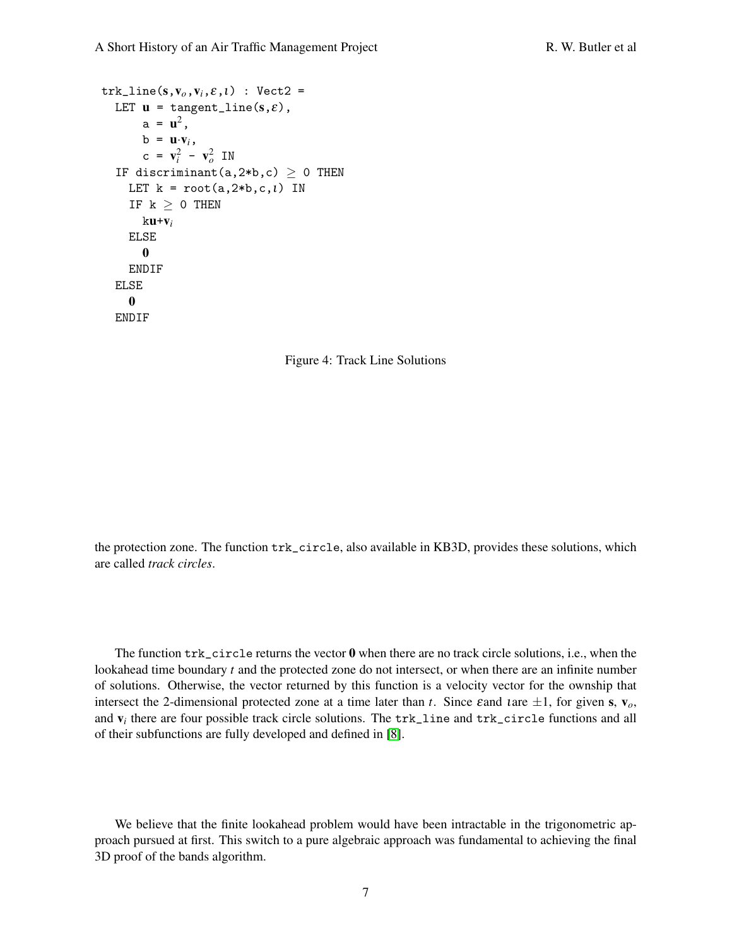```
trk<sub>-</sub>line(s,v<sub>o</sub>,v<sub>i</sub>,\varepsilon,l) : Vect2 =
LET \mathbf{u} = \text{tangent\_line}(s, \varepsilon),
       a = u^2,
      b = \mathbf{u} \cdot \mathbf{v}_i,
       c = v_i^2 - v_o^2 IN
IF discriminant(a,2*b,c) \geq 0 THEN
   LET k = root(a, 2 * b, c, l) IN
   IF k \geq 0 THEN
       ku+vi
   ELSE
       0
   ENDIF
ELSE
   0
ENDIF
```
<span id="page-6-0"></span>

the protection zone. The function trk\_circle, also available in KB3D, provides these solutions, which are called *track circles*.

The function  $\text{tr}\, \text{c}$  include returns the vector  $\boldsymbol{0}$  when there are no track circle solutions, i.e., when the lookahead time boundary *t* and the protected zone do not intersect, or when there are an infinite number of solutions. Otherwise, the vector returned by this function is a velocity vector for the ownship that intersect the 2-dimensional protected zone at a time later than *t*. Since  $\varepsilon$  and  $\iota$  are  $\pm 1$ , for given s,  $v_o$ , and v*<sup>i</sup>* there are four possible track circle solutions. The trk\_line and trk\_circle functions and all of their subfunctions are fully developed and defined in [\[8\]](#page-13-0).

We believe that the finite lookahead problem would have been intractable in the trigonometric approach pursued at first. This switch to a pure algebraic approach was fundamental to achieving the final 3D proof of the bands algorithm.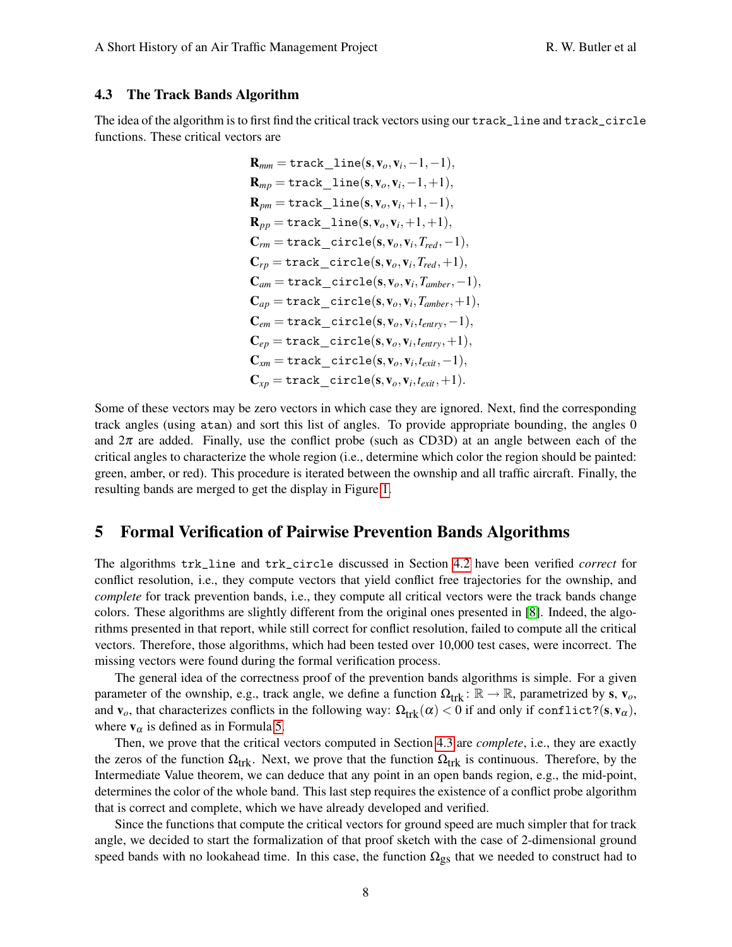#### <span id="page-7-0"></span>4.3 The Track Bands Algorithm

The idea of the algorithm is to first find the critical track vectors using our track\_line and track\_circle functions. These critical vectors are

$$
\mathbf{R}_{mm} = \text{track\_line}(\mathbf{s}, \mathbf{v}_o, \mathbf{v}_i, -1, -1),
$$
\n
$$
\mathbf{R}_{mp} = \text{track\_line}(\mathbf{s}, \mathbf{v}_o, \mathbf{v}_i, -1, +1),
$$
\n
$$
\mathbf{R}_{pm} = \text{track\_line}(\mathbf{s}, \mathbf{v}_o, \mathbf{v}_i, +1, -1),
$$
\n
$$
\mathbf{R}_{pp} = \text{track\_line}(\mathbf{s}, \mathbf{v}_o, \mathbf{v}_i, +1, +1),
$$
\n
$$
\mathbf{C}_{rm} = \text{track\_circle}(\mathbf{s}, \mathbf{v}_o, \mathbf{v}_i, T_{red}, -1),
$$
\n
$$
\mathbf{C}_{rp} = \text{track\_circle}(\mathbf{s}, \mathbf{v}_o, \mathbf{v}_i, T_{red}, +1),
$$
\n
$$
\mathbf{C}_{am} = \text{track\_circle}(\mathbf{s}, \mathbf{v}_o, \mathbf{v}_i, T_{amber}, -1),
$$
\n
$$
\mathbf{C}_{ap} = \text{track\_circle}(\mathbf{s}, \mathbf{v}_o, \mathbf{v}_i, T_{amber}, +1),
$$
\n
$$
\mathbf{C}_{em} = \text{track\_circle}(\mathbf{s}, \mathbf{v}_o, \mathbf{v}_i, t_{entry}, -1),
$$
\n
$$
\mathbf{C}_{ep} = \text{track\_circle}(\mathbf{s}, \mathbf{v}_o, \mathbf{v}_i, t_{entry}, +1),
$$
\n
$$
\mathbf{C}_{xm} = \text{track\_circle}(\mathbf{s}, \mathbf{v}_o, \mathbf{v}_i, t_{exit}, -1),
$$
\n
$$
\mathbf{C}_{xp} = \text{track\_circle}(\mathbf{s}, \mathbf{v}_o, \mathbf{v}_i, t_{exit}, -1),
$$
\n
$$
\mathbf{C}_{xp} = \text{track\_circle}(\mathbf{s}, \mathbf{v}_o, \mathbf{v}_i, t_{exit}, -1).
$$

Some of these vectors may be zero vectors in which case they are ignored. Next, find the corresponding track angles (using atan) and sort this list of angles. To provide appropriate bounding, the angles 0 and  $2\pi$  are added. Finally, use the conflict probe (such as CD3D) at an angle between each of the critical angles to characterize the whole region (i.e., determine which color the region should be painted: green, amber, or red). This procedure is iterated between the ownship and all traffic aircraft. Finally, the resulting bands are merged to get the display in Figure [1.](#page-1-0)

### 5 Formal Verification of Pairwise Prevention Bands Algorithms

The algorithms trk\_line and trk\_circle discussed in Section [4.2](#page-5-1) have been verified *correct* for conflict resolution, i.e., they compute vectors that yield conflict free trajectories for the ownship, and *complete* for track prevention bands, i.e., they compute all critical vectors were the track bands change colors. These algorithms are slightly different from the original ones presented in [\[8\]](#page-13-0). Indeed, the algorithms presented in that report, while still correct for conflict resolution, failed to compute all the critical vectors. Therefore, those algorithms, which had been tested over 10,000 test cases, were incorrect. The missing vectors were found during the formal verification process.

The general idea of the correctness proof of the prevention bands algorithms is simple. For a given parameter of the ownship, e.g., track angle, we define a function  $\Omega_{trk}$ :  $\mathbb{R} \to \mathbb{R}$ , parametrized by s,  $v_o$ , and  $\mathbf{v}_o$ , that characterizes conflicts in the following way:  $\Omega_{trk}(\alpha) < 0$  if and only if conflict?(s,  $\mathbf{v}_\alpha$ ), where  $v_\alpha$  is defined as in Formula [5.](#page-4-0)

Then, we prove that the critical vectors computed in Section [4.3](#page-7-0) are *complete*, i.e., they are exactly the zeros of the function  $\Omega_{trk}$ . Next, we prove that the function  $\Omega_{trk}$  is continuous. Therefore, by the Intermediate Value theorem, we can deduce that any point in an open bands region, e.g., the mid-point, determines the color of the whole band. This last step requires the existence of a conflict probe algorithm that is correct and complete, which we have already developed and verified.

Since the functions that compute the critical vectors for ground speed are much simpler that for track angle, we decided to start the formalization of that proof sketch with the case of 2-dimensional ground speed bands with no lookahead time. In this case, the function  $\Omega_{gs}$  that we needed to construct had to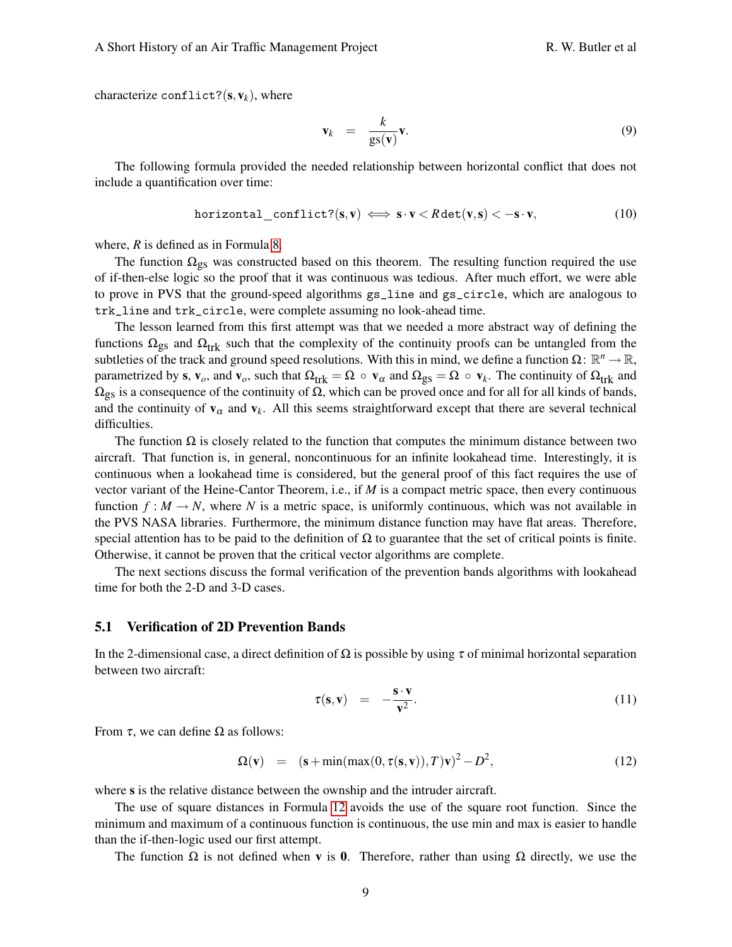characterize conflict? $(s, v_k)$ , where

$$
\mathbf{v}_k = \frac{k}{\text{gs}(\mathbf{v})} \mathbf{v}.\tag{9}
$$

The following formula provided the needed relationship between horizontal conflict that does not include a quantification over time:

$$
\text{horizontal\_conflict?}(s, v) \iff s \cdot v < R \det(v, s) < -s \cdot v,\tag{10}
$$

where, *R* is defined as in Formula [8.](#page-4-1)

The function  $\Omega_{gs}$  was constructed based on this theorem. The resulting function required the use of if-then-else logic so the proof that it was continuous was tedious. After much effort, we were able to prove in PVS that the ground-speed algorithms gs\_line and gs\_circle, which are analogous to trk\_line and trk\_circle, were complete assuming no look-ahead time.

The lesson learned from this first attempt was that we needed a more abstract way of defining the functions  $\Omega_{gs}$  and  $\Omega_{trk}$  such that the complexity of the continuity proofs can be untangled from the subtleties of the track and ground speed resolutions. With this in mind, we define a function  $\Omega \colon \mathbb{R}^n \to \mathbb{R}$ , parametrized by s,  $\mathbf{v}_o$ , and  $\mathbf{v}_o$ , such that  $\Omega_{trk} = \Omega \circ \mathbf{v}_\alpha$  and  $\Omega_{gs} = \Omega \circ \mathbf{v}_k$ . The continuity of  $\Omega_{trk}$  and  $\Omega_{gs}$  is a consequence of the continuity of  $\Omega$ , which can be proved once and for all for all kinds of bands, and the continuity of  $v_\alpha$  and  $v_k$ . All this seems straightforward except that there are several technical difficulties.

The function  $\Omega$  is closely related to the function that computes the minimum distance between two aircraft. That function is, in general, noncontinuous for an infinite lookahead time. Interestingly, it is continuous when a lookahead time is considered, but the general proof of this fact requires the use of vector variant of the Heine-Cantor Theorem, i.e., if *M* is a compact metric space, then every continuous function  $f : M \to N$ , where *N* is a metric space, is uniformly continuous, which was not available in the PVS NASA libraries. Furthermore, the minimum distance function may have flat areas. Therefore, special attention has to be paid to the definition of  $\Omega$  to guarantee that the set of critical points is finite. Otherwise, it cannot be proven that the critical vector algorithms are complete.

The next sections discuss the formal verification of the prevention bands algorithms with lookahead time for both the 2-D and 3-D cases.

#### 5.1 Verification of 2D Prevention Bands

In the 2-dimensional case, a direct definition of  $\Omega$  is possible by using  $\tau$  of minimal horizontal separation between two aircraft:

$$
\tau(\mathbf{s}, \mathbf{v}) = -\frac{\mathbf{s} \cdot \mathbf{v}}{\mathbf{v}^2}.
$$
 (11)

From  $τ$ , we can define  $Ω$  as follows:

<span id="page-8-0"></span>
$$
\Omega(\mathbf{v}) = (\mathbf{s} + \min(\max(0, \tau(\mathbf{s}, \mathbf{v})), T)\mathbf{v})^2 - D^2, \tag{12}
$$

where s is the relative distance between the ownship and the intruder aircraft.

The use of square distances in Formula [12](#page-8-0) avoids the use of the square root function. Since the minimum and maximum of a continuous function is continuous, the use min and max is easier to handle than the if-then-logic used our first attempt.

The function  $\Omega$  is not defined when **v** is 0. Therefore, rather than using  $\Omega$  directly, we use the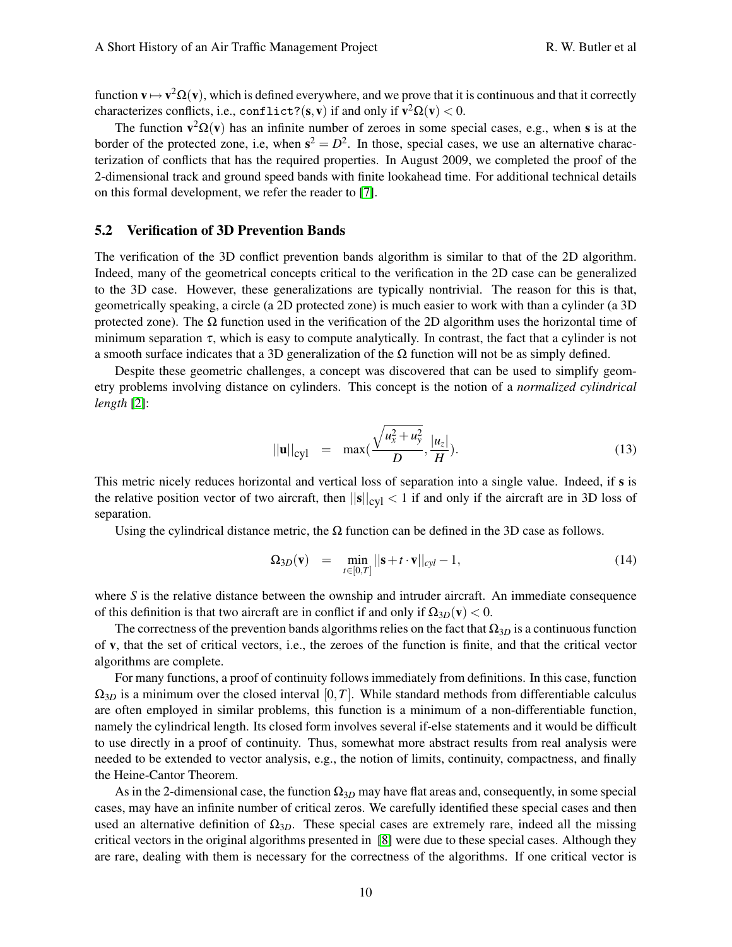function  $v \mapsto v^2 \Omega(v)$ , which is defined everywhere, and we prove that it is continuous and that it correctly characterizes conflicts, i.e., conflict?( $\mathbf{s}, \mathbf{v}$ ) if and only if  $\mathbf{v}^2 \mathbf{\Omega}(\mathbf{v}) < 0$ .

The function  $\mathbf{v}^2 \Omega(\mathbf{v})$  has an infinite number of zeroes in some special cases, e.g., when s is at the border of the protected zone, i.e, when  $s^2 = D^2$ . In those, special cases, we use an alternative characterization of conflicts that has the required properties. In August 2009, we completed the proof of the 2-dimensional track and ground speed bands with finite lookahead time. For additional technical details on this formal development, we refer the reader to [\[7\]](#page-13-4).

### 5.2 Verification of 3D Prevention Bands

The verification of the 3D conflict prevention bands algorithm is similar to that of the 2D algorithm. Indeed, many of the geometrical concepts critical to the verification in the 2D case can be generalized to the 3D case. However, these generalizations are typically nontrivial. The reason for this is that, geometrically speaking, a circle (a 2D protected zone) is much easier to work with than a cylinder (a 3D protected zone). The  $\Omega$  function used in the verification of the 2D algorithm uses the horizontal time of minimum separation  $\tau$ , which is easy to compute analytically. In contrast, the fact that a cylinder is not a smooth surface indicates that a 3D generalization of the  $Ω$  function will not be as simply defined.

Despite these geometric challenges, a concept was discovered that can be used to simplify geometry problems involving distance on cylinders. This concept is the notion of a *normalized cylindrical length* [\[2\]](#page-12-2):

$$
||\mathbf{u}||_{\text{cyl}} = \max(\frac{\sqrt{u_x^2 + u_y^2}}{D}, \frac{|u_z|}{H}).
$$
\n(13)

This metric nicely reduces horizontal and vertical loss of separation into a single value. Indeed, if s is the relative position vector of two aircraft, then  $||s||_{\text{cyl}} < 1$  if and only if the aircraft are in 3D loss of separation.

Using the cylindrical distance metric, the  $\Omega$  function can be defined in the 3D case as follows.

$$
\Omega_{3D}(\mathbf{v}) = \min_{t \in [0,T]} ||\mathbf{s} + t \cdot \mathbf{v}||_{cyl} - 1, \tag{14}
$$

where *S* is the relative distance between the ownship and intruder aircraft. An immediate consequence of this definition is that two aircraft are in conflict if and only if  $\Omega_{3D}(v) < 0$ .

The correctness of the prevention bands algorithms relies on the fact that  $\Omega_{3D}$  is a continuous function of v, that the set of critical vectors, i.e., the zeroes of the function is finite, and that the critical vector algorithms are complete.

For many functions, a proof of continuity follows immediately from definitions. In this case, function  $\Omega_{3D}$  is a minimum over the closed interval [0,*T*]. While standard methods from differentiable calculus are often employed in similar problems, this function is a minimum of a non-differentiable function, namely the cylindrical length. Its closed form involves several if-else statements and it would be difficult to use directly in a proof of continuity. Thus, somewhat more abstract results from real analysis were needed to be extended to vector analysis, e.g., the notion of limits, continuity, compactness, and finally the Heine-Cantor Theorem.

As in the 2-dimensional case, the function Ω3*<sup>D</sup>* may have flat areas and, consequently, in some special cases, may have an infinite number of critical zeros. We carefully identified these special cases and then used an alternative definition of  $\Omega_{3D}$ . These special cases are extremely rare, indeed all the missing critical vectors in the original algorithms presented in [\[8\]](#page-13-0) were due to these special cases. Although they are rare, dealing with them is necessary for the correctness of the algorithms. If one critical vector is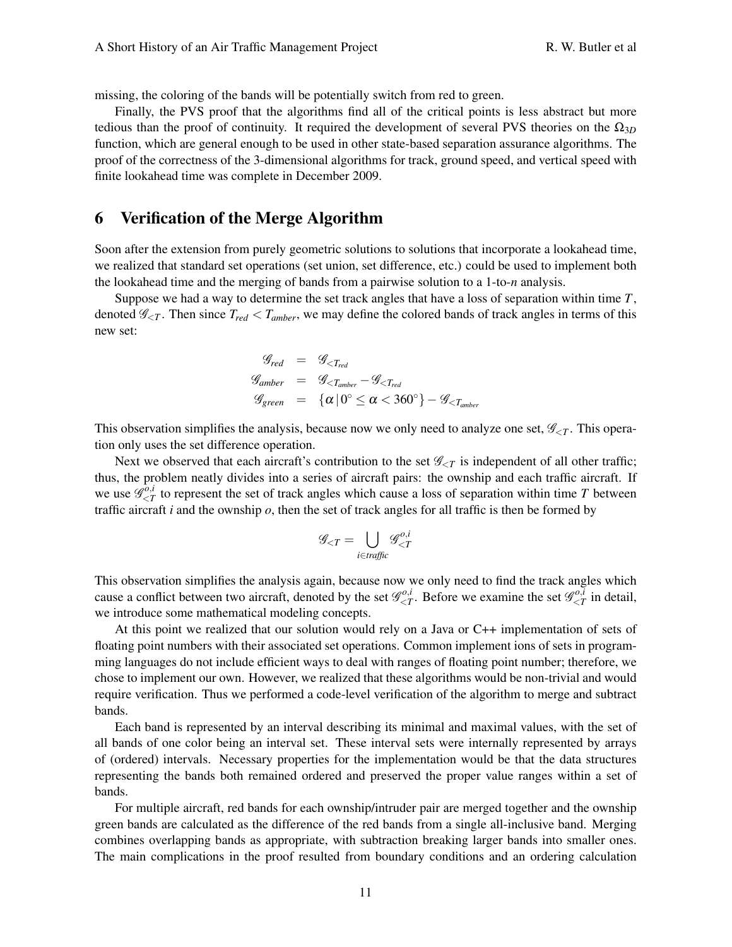missing, the coloring of the bands will be potentially switch from red to green.

Finally, the PVS proof that the algorithms find all of the critical points is less abstract but more tedious than the proof of continuity. It required the development of several PVS theories on the  $\Omega_{3D}$ function, which are general enough to be used in other state-based separation assurance algorithms. The proof of the correctness of the 3-dimensional algorithms for track, ground speed, and vertical speed with finite lookahead time was complete in December 2009.

# 6 Verification of the Merge Algorithm

Soon after the extension from purely geometric solutions to solutions that incorporate a lookahead time, we realized that standard set operations (set union, set difference, etc.) could be used to implement both the lookahead time and the merging of bands from a pairwise solution to a 1-to-*n* analysis.

Suppose we had a way to determine the set track angles that have a loss of separation within time *T*, denoted  $\mathcal{G}_{\leq T}$ . Then since  $T_{red} < T_{amber}$ , we may define the colored bands of track angles in terms of this new set:

$$
\begin{array}{lcl} \mathcal{G}_{red} & = & \mathcal{G}_{
$$

This observation simplifies the analysis, because now we only need to analyze one set,  $\mathscr{G}_{\leq T}$ . This operation only uses the set difference operation.

Next we observed that each aircraft's contribution to the set  $\mathscr{G}_{\leq T}$  is independent of all other traffic; thus, the problem neatly divides into a series of aircraft pairs: the ownship and each traffic aircraft. If we use  $\overline{\mathscr{G}}_{\leq I}^{\overline{o},i}$  $\frac{\partial u}{\partial t}$  to represent the set of track angles which cause a loss of separation within time *T* between traffic aircraft  $i$  and the ownship  $o$ , then the set of track angles for all traffic is then be formed by

$$
\mathscr{G}_{\leq T} = \bigcup_{i \in \text{traffic}} \mathscr{G}_{\leq T}^{o,i}
$$

This observation simplifies the analysis again, because now we only need to find the track angles which cause a conflict between two aircraft, denoted by the set  $\mathcal{G}_{\leq 7}^{o,i}$  $\mathscr{L}_{\leq T}^{o,i}$ . Before we examine the set  $\mathscr{G}_{\leq T}^{o,i}$  $\zeta_T^{(0,t)}$  in detail, we introduce some mathematical modeling concepts.

At this point we realized that our solution would rely on a Java or C++ implementation of sets of floating point numbers with their associated set operations. Common implement ions of sets in programming languages do not include efficient ways to deal with ranges of floating point number; therefore, we chose to implement our own. However, we realized that these algorithms would be non-trivial and would require verification. Thus we performed a code-level verification of the algorithm to merge and subtract bands.

Each band is represented by an interval describing its minimal and maximal values, with the set of all bands of one color being an interval set. These interval sets were internally represented by arrays of (ordered) intervals. Necessary properties for the implementation would be that the data structures representing the bands both remained ordered and preserved the proper value ranges within a set of bands.

For multiple aircraft, red bands for each ownship/intruder pair are merged together and the ownship green bands are calculated as the difference of the red bands from a single all-inclusive band. Merging combines overlapping bands as appropriate, with subtraction breaking larger bands into smaller ones. The main complications in the proof resulted from boundary conditions and an ordering calculation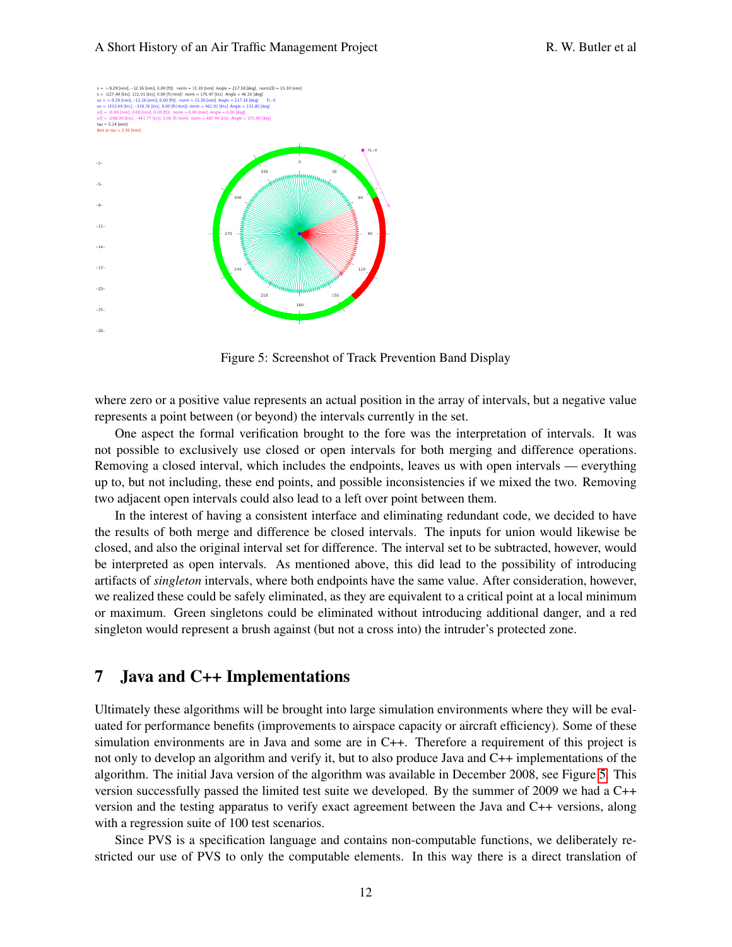#### A Short History of an Air Traffic Management Project R. W. Butler et al.



<span id="page-11-0"></span>Figure 5: Screenshot of Track Prevention Band Display

where zero or a positive value represents an actual position in the array of intervals, but a negative value represents a point between (or beyond) the intervals currently in the set.

One aspect the formal verification brought to the fore was the interpretation of intervals. It was not possible to exclusively use closed or open intervals for both merging and difference operations. Removing a closed interval, which includes the endpoints, leaves us with open intervals — everything up to, but not including, these end points, and possible inconsistencies if we mixed the two. Removing two adjacent open intervals could also lead to a left over point between them.

In the interest of having a consistent interface and eliminating redundant code, we decided to have the results of both merge and difference be closed intervals. The inputs for union would likewise be closed, and also the original interval set for difference. The interval set to be subtracted, however, would be interpreted as open intervals. As mentioned above, this did lead to the possibility of introducing artifacts of *singleton* intervals, where both endpoints have the same value. After consideration, however, we realized these could be safely eliminated, as they are equivalent to a critical point at a local minimum or maximum. Green singletons could be eliminated without introducing additional danger, and a red singleton would represent a brush against (but not a cross into) the intruder's protected zone.

### 7 Java and C++ Implementations

Ultimately these algorithms will be brought into large simulation environments where they will be evaluated for performance benefits (improvements to airspace capacity or aircraft efficiency). Some of these simulation environments are in Java and some are in C++. Therefore a requirement of this project is not only to develop an algorithm and verify it, but to also produce Java and C++ implementations of the algorithm. The initial Java version of the algorithm was available in December 2008, see Figure [5.](#page-11-0) This version successfully passed the limited test suite we developed. By the summer of 2009 we had a C++ version and the testing apparatus to verify exact agreement between the Java and C++ versions, along with a regression suite of 100 test scenarios.

Since PVS is a specification language and contains non-computable functions, we deliberately restricted our use of PVS to only the computable elements. In this way there is a direct translation of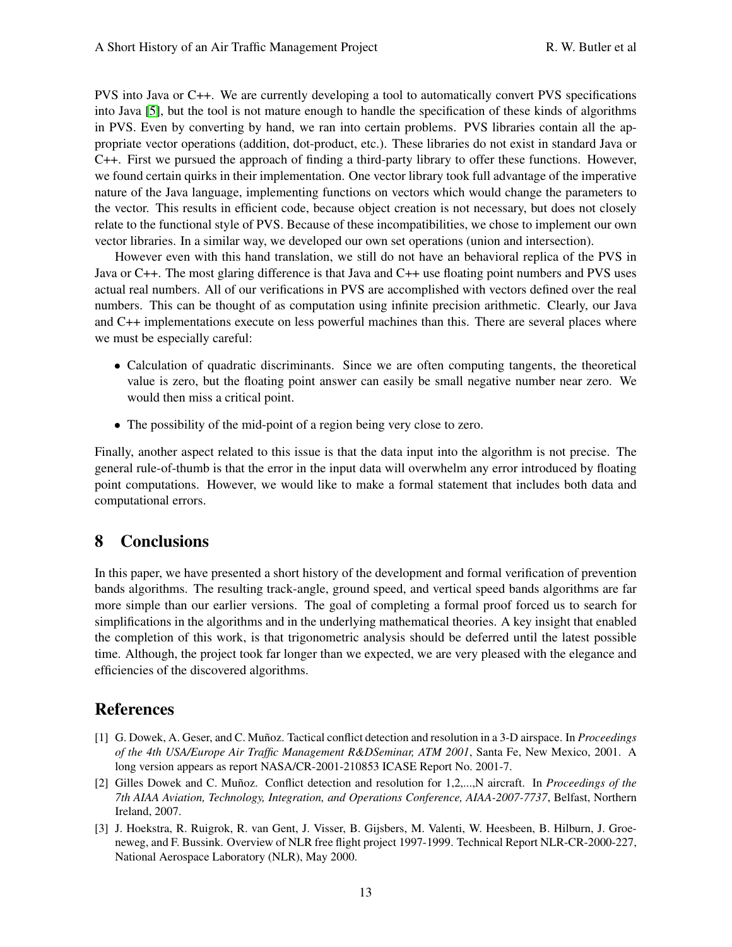PVS into Java or C++. We are currently developing a tool to automatically convert PVS specifications into Java [\[5\]](#page-13-5), but the tool is not mature enough to handle the specification of these kinds of algorithms in PVS. Even by converting by hand, we ran into certain problems. PVS libraries contain all the appropriate vector operations (addition, dot-product, etc.). These libraries do not exist in standard Java or C++. First we pursued the approach of finding a third-party library to offer these functions. However, we found certain quirks in their implementation. One vector library took full advantage of the imperative nature of the Java language, implementing functions on vectors which would change the parameters to the vector. This results in efficient code, because object creation is not necessary, but does not closely relate to the functional style of PVS. Because of these incompatibilities, we chose to implement our own vector libraries. In a similar way, we developed our own set operations (union and intersection).

However even with this hand translation, we still do not have an behavioral replica of the PVS in Java or C++. The most glaring difference is that Java and C++ use floating point numbers and PVS uses actual real numbers. All of our verifications in PVS are accomplished with vectors defined over the real numbers. This can be thought of as computation using infinite precision arithmetic. Clearly, our Java and C++ implementations execute on less powerful machines than this. There are several places where we must be especially careful:

- Calculation of quadratic discriminants. Since we are often computing tangents, the theoretical value is zero, but the floating point answer can easily be small negative number near zero. We would then miss a critical point.
- The possibility of the mid-point of a region being very close to zero.

Finally, another aspect related to this issue is that the data input into the algorithm is not precise. The general rule-of-thumb is that the error in the input data will overwhelm any error introduced by floating point computations. However, we would like to make a formal statement that includes both data and computational errors.

# 8 Conclusions

In this paper, we have presented a short history of the development and formal verification of prevention bands algorithms. The resulting track-angle, ground speed, and vertical speed bands algorithms are far more simple than our earlier versions. The goal of completing a formal proof forced us to search for simplifications in the algorithms and in the underlying mathematical theories. A key insight that enabled the completion of this work, is that trigonometric analysis should be deferred until the latest possible time. Although, the project took far longer than we expected, we are very pleased with the elegance and efficiencies of the discovered algorithms.

# References

- <span id="page-12-1"></span>[1] G. Dowek, A. Geser, and C. Munoz. Tactical conflict detection and resolution in a 3-D airspace. In ˜ *Proceedings of the 4th USA/Europe Air Traffic Management R&DSeminar, ATM 2001*, Santa Fe, New Mexico, 2001. A long version appears as report NASA/CR-2001-210853 ICASE Report No. 2001-7.
- <span id="page-12-2"></span>[2] Gilles Dowek and C. Munoz. Conflict detection and resolution for 1,2,...,N aircraft. In ˜ *Proceedings of the 7th AIAA Aviation, Technology, Integration, and Operations Conference, AIAA-2007-7737*, Belfast, Northern Ireland, 2007.
- <span id="page-12-0"></span>[3] J. Hoekstra, R. Ruigrok, R. van Gent, J. Visser, B. Gijsbers, M. Valenti, W. Heesbeen, B. Hilburn, J. Groeneweg, and F. Bussink. Overview of NLR free flight project 1997-1999. Technical Report NLR-CR-2000-227, National Aerospace Laboratory (NLR), May 2000.